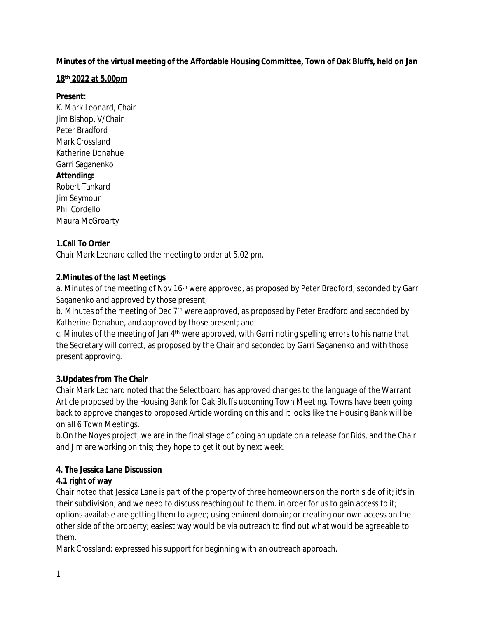#### **Minutes of the virtual meeting of the Affordable Housing Committee, Town of Oak Bluffs, held on Jan**

#### **18th 2022 at 5.00pm**

#### **Present:**

K. Mark Leonard, Chair Jim Bishop, V/Chair Peter Bradford Mark Crossland Katherine Donahue Garri Saganenko **Attending:** Robert Tankard Jim Seymour Phil Cordello Maura McGroarty

## **1.Call To Order**

Chair Mark Leonard called the meeting to order at 5.02 pm.

### **2.Minutes of the last Meetings**

a. Minutes of the meeting of Nov 16<sup>th</sup> were approved, as proposed by Peter Bradford, seconded by Garri Saganenko and approved by those present;

b. Minutes of the meeting of Dec 7<sup>th</sup> were approved, as proposed by Peter Bradford and seconded by Katherine Donahue, and approved by those present; and

c. Minutes of the meeting of Jan 4<sup>th</sup> were approved, with Garri noting spelling errors to his name that the Secretary will correct, as proposed by the Chair and seconded by Garri Saganenko and with those present approving.

## **3.Updates from The Chair**

Chair Mark Leonard noted that the Selectboard has approved changes to the language of the Warrant Article proposed by the Housing Bank for Oak Bluffs upcoming Town Meeting. Towns have been going back to approve changes to proposed Article wording on this and it looks like the Housing Bank will be on all 6 Town Meetings.

b.On the Noyes project, we are in the final stage of doing an update on a release for Bids, and the Chair and Jim are working on this; they hope to get it out by next week.

## **4. The Jessica Lane Discussion**

#### **4.1 right of way**

Chair noted that Jessica Lane is part of the property of three homeowners on the north side of it; it's in their subdivision, and we need to discuss reaching out to them. in order for us to gain access to it; options available are getting them to agree; using eminent domain; or creating our own access on the other side of the property; easiest way would be via outreach to find out what would be agreeable to them.

Mark Crossland: expressed his support for beginning with an outreach approach.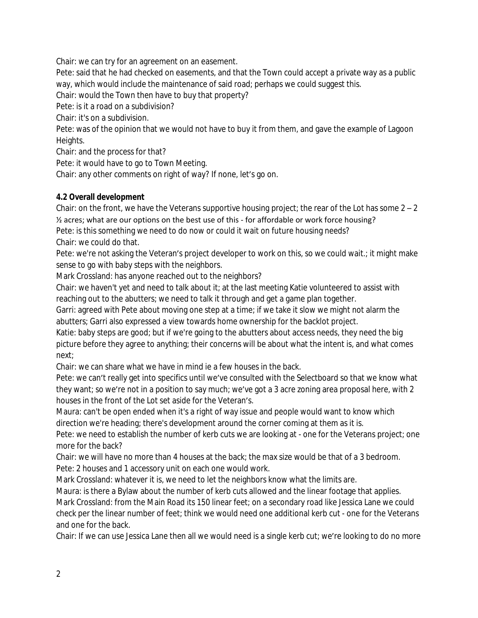Chair: we can try for an agreement on an easement.

Pete: said that he had checked on easements, and that the Town could accept a private way as a public way, which would include the maintenance of said road; perhaps we could suggest this.

Chair: would the Town then have to buy that property?

Pete: is it a road on a subdivision?

Chair: it's on a subdivision.

Pete: was of the opinion that we would not have to buy it from them, and gave the example of Lagoon Heights.

Chair: and the process for that?

Pete: it would have to go to Town Meeting.

Chair: any other comments on right of way? If none, let's go on.

## **4.2 Overall development**

Chair: on the front, we have the Veterans supportive housing project; the rear of the Lot has some  $2 - 2$  $\frac{1}{2}$  acres; what are our options on the best use of this - for affordable or work force housing? Pete: is this something we need to do now or could it wait on future housing needs? Chair: we could do that.

Pete: we're not asking the Veteran's project developer to work on this, so we could wait.; it might make sense to go with baby steps with the neighbors.

Mark Crossland: has anyone reached out to the neighbors?

Chair: we haven't yet and need to talk about it; at the last meeting Katie volunteered to assist with reaching out to the abutters; we need to talk it through and get a game plan together.

Garri: agreed with Pete about moving one step at a time; if we take it slow we might not alarm the abutters; Garri also expressed a view towards home ownership for the backlot project.

Katie: baby steps are good; but if we're going to the abutters about access needs, they need the big picture before they agree to anything; their concerns will be about what the intent is, and what comes next;

Chair: we can share what we have in mind ie a few houses in the back.

Pete: we can't really get into specifics until we've consulted with the Selectboard so that we know what they want; so we're not in a position to say much; we've got a 3 acre zoning area proposal here, with 2 houses in the front of the Lot set aside for the Veteran's.

Maura: can't be open ended when it's a right of way issue and people would want to know which direction we're heading; there's development around the corner coming at them as it is.

Pete: we need to establish the number of kerb cuts we are looking at - one for the Veterans project; one more for the back?

Chair: we will have no more than 4 houses at the back; the max size would be that of a 3 bedroom. Pete: 2 houses and 1 accessory unit on each one would work.

Mark Crossland: whatever it is, we need to let the neighbors know what the limits are.

Maura: is there a Bylaw about the number of kerb cuts allowed and the linear footage that applies.

Mark Crossland: from the Main Road its 150 linear feet; on a secondary road like Jessica Lane we could check per the linear number of feet; think we would need one additional kerb cut - one for the Veterans and one for the back.

Chair: If we can use Jessica Lane then all we would need is a single kerb cut; we're looking to do no more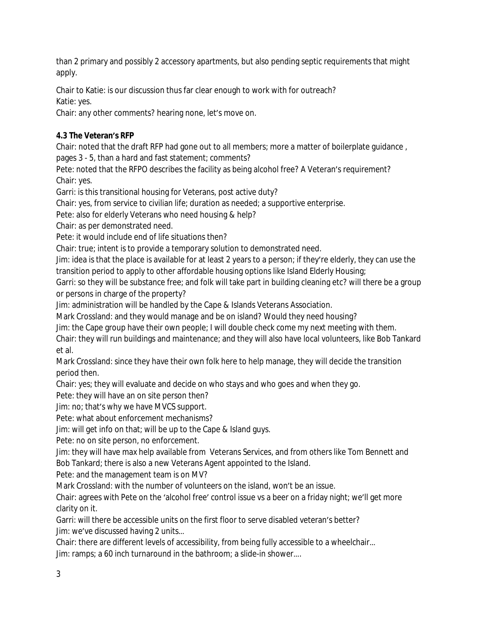than 2 primary and possibly 2 accessory apartments, but also pending septic requirements that might apply.

Chair to Katie: is our discussion thus far clear enough to work with for outreach? Katie: yes.

Chair: any other comments? hearing none, let's move on.

# **4.3 The Veteran's RFP**

Chair: noted that the draft RFP had gone out to all members; more a matter of boilerplate guidance , pages 3 - 5, than a hard and fast statement; comments?

Pete: noted that the RFPO describes the facility as being alcohol free? A Veteran's requirement?

Chair: yes.

Garri: is this transitional housing for Veterans, post active duty?

Chair: yes, from service to civilian life; duration as needed; a supportive enterprise.

Pete: also for elderly Veterans who need housing & help?

Chair: as per demonstrated need.

Pete: it would include end of life situations then?

Chair: true; intent is to provide a temporary solution to demonstrated need.

Jim: idea is that the place is available for at least 2 years to a person; if they're elderly, they can use the transition period to apply to other affordable housing options like Island Elderly Housing;

Garri: so they will be substance free; and folk will take part in building cleaning etc? will there be a group or persons in charge of the property?

Jim: administration will be handled by the Cape & Islands Veterans Association.

Mark Crossland: and they would manage and be on island? Would they need housing?

Jim: the Cape group have their own people; I will double check come my next meeting with them.

Chair: they will run buildings and maintenance; and they will also have local volunteers, like Bob Tankard et al.

Mark Crossland: since they have their own folk here to help manage, they will decide the transition period then.

Chair: yes; they will evaluate and decide on who stays and who goes and when they go.

Pete: they will have an on site person then?

Jim: no; that's why we have MVCS support.

Pete: what about enforcement mechanisms?

Jim: will get info on that; will be up to the Cape & Island guys.

Pete: no on site person, no enforcement.

Jim: they will have max help available from Veterans Services, and from others like Tom Bennett and Bob Tankard; there is also a new Veterans Agent appointed to the Island.

Pete: and the management team is on MV?

Mark Crossland: with the number of volunteers on the island, won't be an issue.

Chair: agrees with Pete on the 'alcohol free' control issue vs a beer on a friday night; we'll get more clarity on it.

Garri: will there be accessible units on the first floor to serve disabled veteran's better? Jim: we've discussed having 2 units…

Chair: there are different levels of accessibility, from being fully accessible to a wheelchair… Jim: ramps; a 60 inch turnaround in the bathroom; a slide-in shower….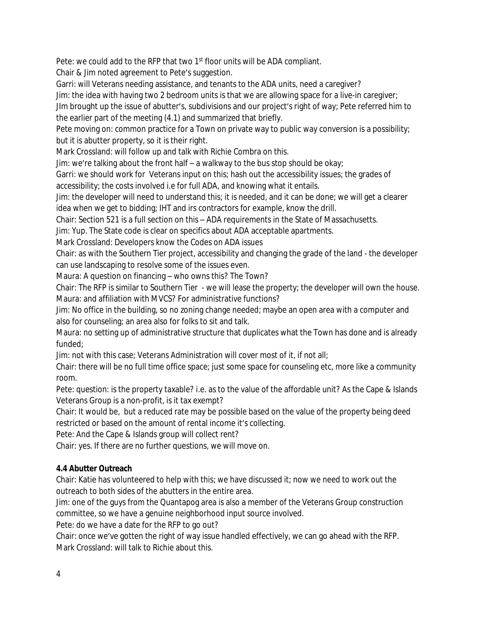Pete: we could add to the RFP that two 1<sup>st</sup> floor units will be ADA compliant.

Chair & Jim noted agreement to Pete's suggestion.

Garri: will Veterans needing assistance, and tenants to the ADA units, need a caregiver?

Jim: the idea with having two 2 bedroom units is that we are allowing space for a live-in caregiver;

JIm brought up the issue of abutter's, subdivisions and our project's right of way; Pete referred him to the earlier part of the meeting (4.1) and summarized that briefly.

Pete moving on: common practice for a Town on private way to public way conversion is a possibility; but it is abutter property, so it is their right.

Mark Crossland: will follow up and talk with Richie Combra on this.

Jim: we're talking about the front half – a walkway to the bus stop should be okay;

Garri: we should work for Veterans input on this; hash out the accessibility issues; the grades of accessibility; the costs involved i.e for full ADA, and knowing what it entails.

Jim: the developer will need to understand this; it is needed, and it can be done; we will get a clearer idea when we get to bidding; IHT and irs contractors for example, know the drill.

Chair: Section 521 is a full section on this – ADA requirements in the State of Massachusetts.

Jim: Yup. The State code is clear on specifics about ADA acceptable apartments.

Mark Crossland: Developers know the Codes on ADA issues

Chair: as with the Southern Tier project, accessibility and changing the grade of the land - the developer can use landscaping to resolve some of the issues even.

Maura: A question on financing – who owns this? The Town?

Chair: The RFP is similar to Southern Tier - we will lease the property; the developer will own the house. Maura: and affiliation with MVCS? For administrative functions?

Jim: No office in the building, so no zoning change needed; maybe an open area with a computer and also for counseling; an area also for folks to sit and talk.

Maura: no setting up of administrative structure that duplicates what the Town has done and is already funded;

Jim: not with this case; Veterans Administration will cover most of it, if not all;

Chair: there will be no full time office space; just some space for counseling etc, more like a community room.

Pete: question: is the property taxable? i.e. as to the value of the affordable unit? As the Cape & Islands Veterans Group is a non-profit, is it tax exempt?

Chair: It would be, but a reduced rate may be possible based on the value of the property being deed restricted or based on the amount of rental income it's collecting.

Pete: And the Cape & Islands group will collect rent?

Chair: yes. If there are no further questions, we will move on.

## **4.4 Abutter Outreach**

Chair: Katie has volunteered to help with this; we have discussed it; now we need to work out the outreach to both sides of the abutters in the entire area.

Jim: one of the guys from the Quantapog area is also a member of the Veterans Group construction committee, so we have a genuine neighborhood input source involved.

Pete: do we have a date for the RFP to go out?

Chair: once we've gotten the right of way issue handled effectively, we can go ahead with the RFP. Mark Crossland: will talk to Richie about this.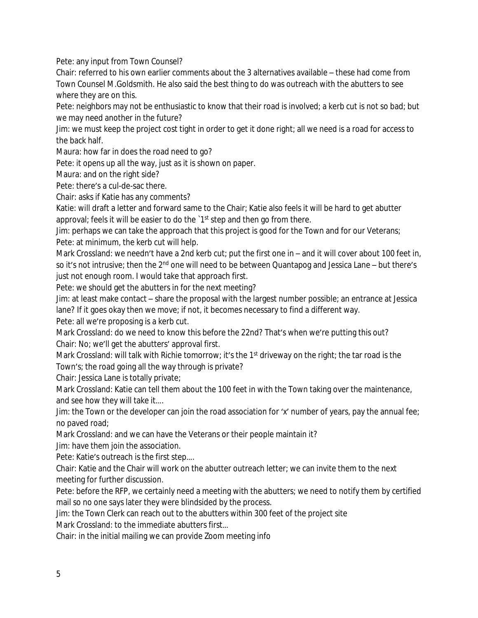Pete: any input from Town Counsel?

Chair: referred to his own earlier comments about the 3 alternatives available – these had come from Town Counsel M.Goldsmith. He also said the best thing to do was outreach with the abutters to see where they are on this.

Pete: neighbors may not be enthusiastic to know that their road is involved; a kerb cut is not so bad; but we may need another in the future?

Jim: we must keep the project cost tight in order to get it done right; all we need is a road for access to the back half.

Maura: how far in does the road need to go?

Pete: it opens up all the way, just as it is shown on paper.

Maura: and on the right side?

Pete: there's a cul-de-sac there.

Chair: asks if Katie has any comments?

Katie: will draft a letter and forward same to the Chair; Katie also feels it will be hard to get abutter approval; feels it will be easier to do the '1<sup>st</sup> step and then go from there.

Jim: perhaps we can take the approach that this project is good for the Town and for our Veterans; Pete: at minimum, the kerb cut will help.

Mark Crossland: we needn't have a 2nd kerb cut; put the first one in – and it will cover about 100 feet in, so it's not intrusive; then the 2<sup>nd</sup> one will need to be between Quantapog and Jessica Lane – but there's just not enough room. I would take that approach first.

Pete: we should get the abutters in for the next meeting?

Jim: at least make contact – share the proposal with the largest number possible; an entrance at Jessica lane? If it goes okay then we move; if not, it becomes necessary to find a different way.

Pete: all we're proposing is a kerb cut.

Mark Crossland: do we need to know this before the 22nd? That's when we're putting this out? Chair: No; we'll get the abutters' approval first.

Mark Crossland: will talk with Richie tomorrow; it's the 1<sup>st</sup> driveway on the right; the tar road is the Town's; the road going all the way through is private?

Chair: Jessica Lane is totally private;

Mark Crossland: Katie can tell them about the 100 feet in with the Town taking over the maintenance, and see how they will take it….

Jim: the Town or the developer can join the road association for 'x' number of years, pay the annual fee; no paved road;

Mark Crossland: and we can have the Veterans or their people maintain it?

Jim: have them join the association.

Pete: Katie's outreach is the first step….

Chair: Katie and the Chair will work on the abutter outreach letter; we can invite them to the next meeting for further discussion.

Pete: before the RFP, we certainly need a meeting with the abutters; we need to notify them by certified mail so no one says later they were blindsided by the process.

Jim: the Town Clerk can reach out to the abutters within 300 feet of the project site

Mark Crossland: to the immediate abutters first…

Chair: in the initial mailing we can provide Zoom meeting info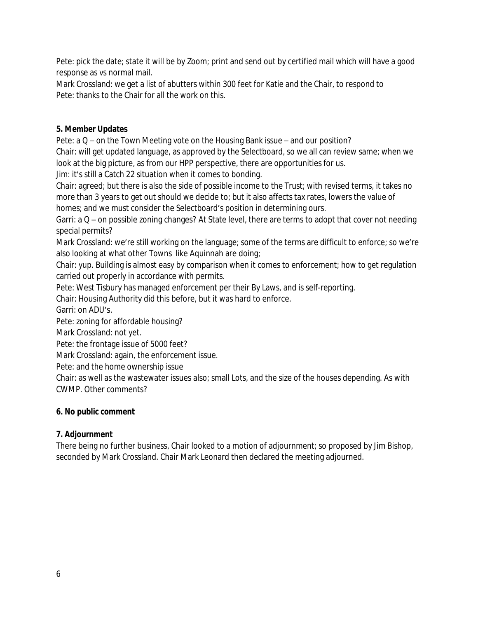Pete: pick the date; state it will be by Zoom; print and send out by certified mail which will have a good response as vs normal mail.

Mark Crossland: we get a list of abutters within 300 feet for Katie and the Chair, to respond to Pete: thanks to the Chair for all the work on this.

## **5. Member Updates**

Pete: a Q – on the Town Meeting vote on the Housing Bank issue – and our position?

Chair: will get updated language, as approved by the Selectboard, so we all can review same; when we look at the big picture, as from our HPP perspective, there are opportunities for us.

Jim: it's still a Catch 22 situation when it comes to bonding.

Chair: agreed; but there is also the side of possible income to the Trust; with revised terms, it takes no more than 3 years to get out should we decide to; but it also affects tax rates, lowers the value of homes; and we must consider the Selectboard's position in determining ours.

Garri: a Q – on possible zoning changes? At State level, there are terms to adopt that cover not needing special permits?

Mark Crossland: we're still working on the language; some of the terms are difficult to enforce; so we're also looking at what other Towns like Aquinnah are doing;

Chair: yup. Building is almost easy by comparison when it comes to enforcement; how to get regulation carried out properly in accordance with permits.

Pete: West Tisbury has managed enforcement per their By Laws, and is self-reporting.

Chair: Housing Authority did this before, but it was hard to enforce.

Garri: on ADU's.

Pete: zoning for affordable housing?

Mark Crossland: not yet.

Pete: the frontage issue of 5000 feet?

Mark Crossland: again, the enforcement issue.

Pete: and the home ownership issue

Chair: as well as the wastewater issues also; small Lots, and the size of the houses depending. As with CWMP. Other comments?

## **6. No public comment**

## **7. Adjournment**

There being no further business, Chair looked to a motion of adjournment; so proposed by Jim Bishop, seconded by Mark Crossland. Chair Mark Leonard then declared the meeting adjourned.